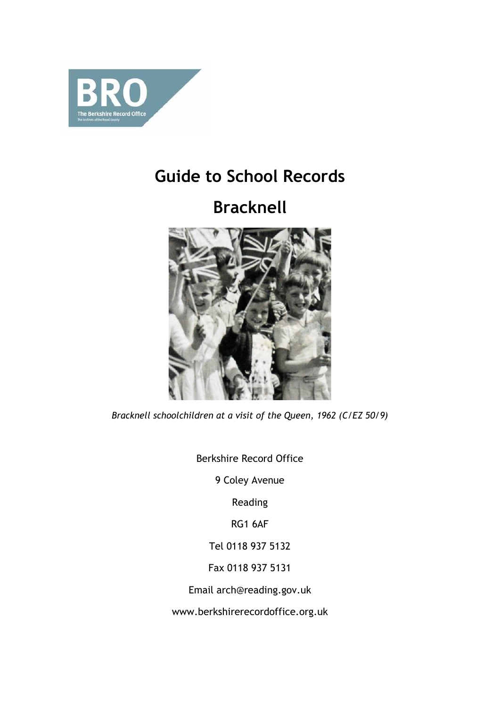

## **Guide to School Records**

# **Bracknell**



*Bracknell schoolchildren at a visit of the Queen, 1962 (C/EZ 50/9)*

Berkshire Record Office

9 Coley Avenue

Reading

RG1 6AF

Tel 0118 937 5132

Fax 0118 937 5131

Email arch@reading.gov.uk

[www.berkshirerecordoffice.org.uk](http://www.berkshirerecordoffice.org.uk/)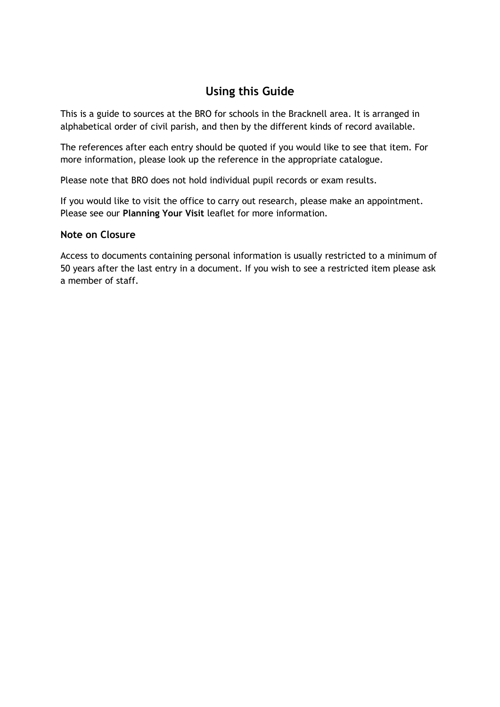## **Using this Guide**

This is a guide to sources at the BRO for schools in the Bracknell area. It is arranged in alphabetical order of civil parish, and then by the different kinds of record available.

The references after each entry should be quoted if you would like to see that item. For more information, please look up the reference in the appropriate catalogue.

Please note that BRO does not hold individual pupil records or exam results.

If you would like to visit the office to carry out research, please make an appointment. Please see our **Planning Your Visit** leaflet for more information*.*

## **Note on Closure**

Access to documents containing personal information is usually restricted to a minimum of 50 years after the last entry in a document. If you wish to see a restricted item please ask a member of staff.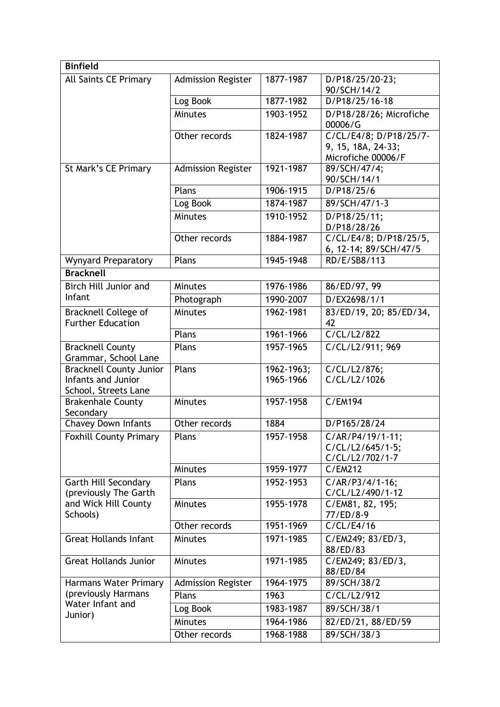| <b>Binfield</b>                                         |                           |            |                                                                    |
|---------------------------------------------------------|---------------------------|------------|--------------------------------------------------------------------|
| All Saints CE Primary                                   | <b>Admission Register</b> | 1877-1987  | D/P18/25/20-23;                                                    |
|                                                         |                           |            | 90/SCH/14/2                                                        |
|                                                         | Log Book                  | 1877-1982  | D/P18/25/16-18                                                     |
|                                                         | Minutes                   | 1903-1952  | D/P18/28/26; Microfiche<br>00006/G                                 |
|                                                         | Other records             | 1824-1987  | C/CL/E4/8; D/P18/25/7-<br>9, 15, 18A, 24-33;<br>Microfiche 00006/F |
| St Mark's CE Primary                                    | <b>Admission Register</b> | 1921-1987  | 89/SCH/47/4;<br>90/SCH/14/1                                        |
|                                                         | Plans                     | 1906-1915  | D/P18/25/6                                                         |
|                                                         | Log Book                  | 1874-1987  | 89/SCH/47/1-3                                                      |
|                                                         | <b>Minutes</b>            | 1910-1952  | D/P18/25/11;<br>D/P18/28/26                                        |
|                                                         | Other records             | 1884-1987  | C/CL/E4/8; D/P18/25/5,<br>6, 12-14; 89/SCH/47/5                    |
| <b>Wynyard Preparatory</b>                              | Plans                     | 1945-1948  | RD/E/SB8/113                                                       |
| <b>Bracknell</b>                                        |                           |            |                                                                    |
| <b>Birch Hill Junior and</b>                            | <b>Minutes</b>            | 1976-1986  | 86/ED/97, 99                                                       |
| Infant                                                  | Photograph                | 1990-2007  | D/EX2698/1/1                                                       |
| <b>Bracknell College of</b><br><b>Further Education</b> | Minutes                   | 1962-1981  | 83/ED/19, 20; 85/ED/34,<br>42                                      |
|                                                         | Plans                     | 1961-1966  | C/CL/L2/822                                                        |
| <b>Bracknell County</b><br>Grammar, School Lane         | Plans                     | 1957-1965  | C/CL/L2/911; 969                                                   |
| <b>Bracknell County Junior</b>                          | Plans                     | 1962-1963; | C/CL/L2/876;                                                       |
| Infants and Junior<br>School, Streets Lane              |                           | 1965-1966  | C/CL/L2/1026                                                       |
| <b>Brakenhale County</b><br>Secondary                   | Minutes                   | 1957-1958  | C/EM194                                                            |
| <b>Chavey Down Infants</b>                              | Other records             | 1884       | D/P165/28/24                                                       |
| Foxhill County Primary                                  | Plans                     | 1957-1958  | C/AR/P4/19/1-11;<br>C/CL/L2/645/1-5;<br>C/CL/L2/702/1-7            |
|                                                         | <b>Minutes</b>            | 1959-1977  | C/EM212                                                            |
| Garth Hill Secondary<br>(previously The Garth           | Plans                     | 1952-1953  | C/AR/P3/4/1-16;<br>C/CL/L2/490/1-12                                |
| and Wick Hill County<br>Schools)                        | <b>Minutes</b>            | 1955-1978  | C/EM81, 82, 195;<br>77/ED/8-9                                      |
|                                                         | Other records             | 1951-1969  | C/CL/E4/16                                                         |
| <b>Great Hollands Infant</b>                            | <b>Minutes</b>            | 1971-1985  | C/EM249; 83/ED/3,<br>88/ED/83                                      |
| <b>Great Hollands Junior</b>                            | <b>Minutes</b>            | 1971-1985  | C/EM249; 83/ED/3,<br>88/ED/84                                      |
| Harmans Water Primary                                   | <b>Admission Register</b> | 1964-1975  | 89/SCH/38/2                                                        |
| (previously Harmans                                     | Plans                     | 1963       | C/CL/L2/912                                                        |
| Water Infant and                                        | Log Book                  | 1983-1987  | 89/SCH/38/1                                                        |
| Junior)                                                 | <b>Minutes</b>            | 1964-1986  | 82/ED/21, 88/ED/59                                                 |
|                                                         | Other records             | 1968-1988  | 89/SCH/38/3                                                        |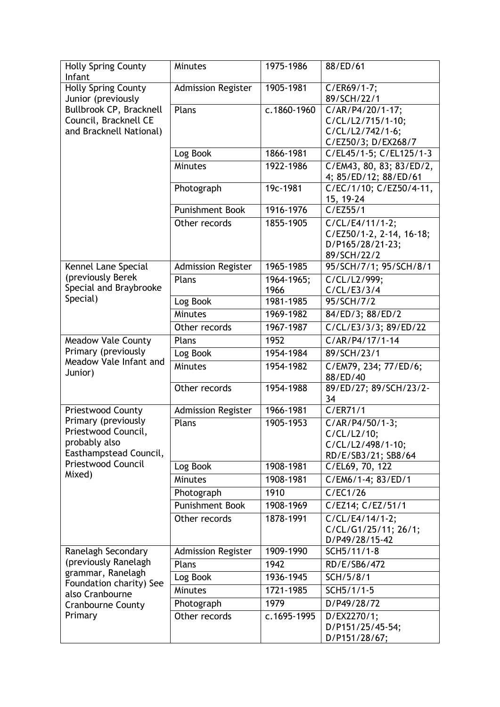| <b>Holly Spring County</b>                                                                                    | <b>Minutes</b>            | 1975-1986   | 88/ED/61                            |
|---------------------------------------------------------------------------------------------------------------|---------------------------|-------------|-------------------------------------|
| Infant                                                                                                        |                           |             |                                     |
| <b>Holly Spring County</b><br>Junior (previously<br>Bullbrook CP, Bracknell<br>Council, Bracknell CE          | <b>Admission Register</b> | 1905-1981   | C/ER69/1-7;                         |
|                                                                                                               | Plans                     | c.1860-1960 | 89/SCH/22/1<br>C/AR/P4/20/1-17;     |
|                                                                                                               |                           |             | C/CL/L2/715/1-10;                   |
| and Bracknell National)                                                                                       |                           |             | C/CL/L2/742/1-6;                    |
|                                                                                                               |                           |             | C/EZ50/3; D/EX268/7                 |
|                                                                                                               | Log Book                  | 1866-1981   | C/EL45/1-5; C/EL125/1-3             |
|                                                                                                               | <b>Minutes</b>            | 1922-1986   | C/EM43, 80, 83; 83/ED/2,            |
|                                                                                                               |                           |             | 4; 85/ED/12; 88/ED/61               |
|                                                                                                               | Photograph                | 19c-1981    | C/EC/1/10; C/EZ50/4-11,             |
|                                                                                                               |                           |             | 15, 19-24                           |
|                                                                                                               | <b>Punishment Book</b>    | 1916-1976   | $\overline{C}/EZ55/1$               |
|                                                                                                               | Other records             | 1855-1905   | C/CL/E4/11/1-2;                     |
|                                                                                                               |                           |             | C/EZ50/1-2, 2-14, 16-18;            |
|                                                                                                               |                           |             | D/P165/28/21-23;<br>89/SCH/22/2     |
| Kennel Lane Special                                                                                           | <b>Admission Register</b> | 1965-1985   | 95/SCH/7/1; 95/SCH/8/1              |
| (previously Berek                                                                                             | Plans                     | 1964-1965;  | C/CL/L2/999;                        |
| Special and Braybrooke                                                                                        |                           | 1966        | C/CL/E3/3/4                         |
| Special)                                                                                                      | Log Book                  | 1981-1985   | 95/SCH/7/2                          |
|                                                                                                               | Minutes                   | 1969-1982   | 84/ED/3; 88/ED/2                    |
|                                                                                                               | Other records             | 1967-1987   | C/CL/E3/3/3; 89/ED/22               |
| <b>Meadow Vale County</b>                                                                                     | Plans                     | 1952        | C/AR/P4/17/1-14                     |
| Primary (previously                                                                                           | Log Book                  | 1954-1984   | 89/SCH/23/1                         |
| Meadow Vale Infant and<br>Junior)                                                                             | Minutes                   | 1954-1982   | C/EM79, 234; 77/ED/6;               |
|                                                                                                               |                           |             | 88/ED/40                            |
|                                                                                                               | Other records             | 1954-1988   | 89/ED/27; 89/SCH/23/2-              |
|                                                                                                               |                           |             | 34                                  |
| <b>Priestwood County</b>                                                                                      | <b>Admission Register</b> | 1966-1981   | C/ER71/1                            |
| Primary (previously<br>Priestwood Council,                                                                    | Plans                     | 1905-1953   | C/AR/P4/50/1-3;                     |
| probably also                                                                                                 |                           |             | $C/CL/L2/10$ ;<br>C/CL/L2/498/1-10; |
| Easthampstead Council,                                                                                        |                           |             | RD/E/SB3/21; SB8/64                 |
| Priestwood Council<br>Mixed)                                                                                  | Log Book                  | 1908-1981   | C/EL69, 70, 122                     |
|                                                                                                               | Minutes                   | 1908-1981   | C/EM6/1-4; 83/ED/1                  |
|                                                                                                               | Photograph                | 1910        | C/EC1/26                            |
|                                                                                                               | <b>Punishment Book</b>    | 1908-1969   | C/EZ14; C/EZ/51/1                   |
|                                                                                                               | Other records             | 1878-1991   | C/CL/E4/14/1-2;                     |
|                                                                                                               |                           |             | C/CL/G1/25/11; 26/1;                |
|                                                                                                               |                           |             | D/P49/28/15-42                      |
| Ranelagh Secondary<br>(previously Ranelagh<br>grammar, Ranelagh<br>Foundation charity) See<br>also Cranbourne | <b>Admission Register</b> | 1909-1990   | SCH5/11/1-8                         |
|                                                                                                               | Plans                     | 1942        | RD/E/SB6/472                        |
|                                                                                                               | Log Book                  | 1936-1945   | SCH/5/8/1                           |
|                                                                                                               | <b>Minutes</b>            | 1721-1985   | SCH5/1/1-5                          |
| <b>Cranbourne County</b>                                                                                      | Photograph                | 1979        | D/P49/28/72                         |
| Primary                                                                                                       | Other records             | c.1695-1995 | D/EX2270/1;                         |
|                                                                                                               |                           |             | D/P151/25/45-54;                    |
|                                                                                                               |                           |             | D/P151/28/67;                       |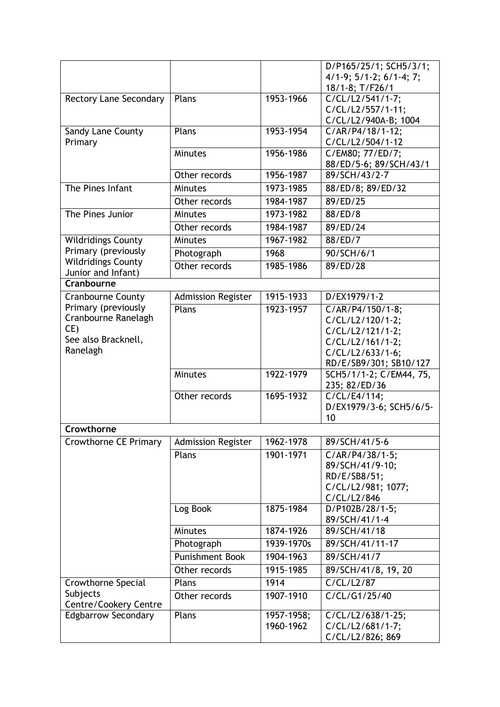|                               |                           |            | D/P165/25/1; SCH5/3/1;                     |  |  |
|-------------------------------|---------------------------|------------|--------------------------------------------|--|--|
|                               |                           |            | $4/1-9$ ; $5/1-2$ ; $6/1-4$ ; 7;           |  |  |
|                               |                           |            | 18/1-8; T/F26/1                            |  |  |
| <b>Rectory Lane Secondary</b> | Plans                     | 1953-1966  | C/CL/L2/541/1-7;                           |  |  |
|                               |                           |            | C/CL/L2/557/1-11;                          |  |  |
|                               |                           |            | C/CL/L2/940A-B; 1004                       |  |  |
| Sandy Lane County             | Plans                     | 1953-1954  | C/AR/P4/18/1-12;                           |  |  |
| Primary                       |                           |            | C/CL/L2/504/1-12                           |  |  |
|                               | <b>Minutes</b>            | 1956-1986  | C/EM80; 77/ED/7;                           |  |  |
|                               | Other records             | 1956-1987  | 88/ED/5-6; 89/SCH/43/1<br>89/SCH/43/2-7    |  |  |
| The Pines Infant              | <b>Minutes</b>            | 1973-1985  |                                            |  |  |
|                               |                           |            | 88/ED/8; 89/ED/32                          |  |  |
|                               | Other records             | 1984-1987  | 89/ED/25                                   |  |  |
| The Pines Junior              | <b>Minutes</b>            | 1973-1982  | 88/ED/8                                    |  |  |
|                               | Other records             | 1984-1987  | 89/ED/24                                   |  |  |
| <b>Wildridings County</b>     | <b>Minutes</b>            | 1967-1982  | 88/ED/7                                    |  |  |
| Primary (previously           | Photograph                | 1968       | 90/SCH/6/1                                 |  |  |
| <b>Wildridings County</b>     | Other records             | 1985-1986  | 89/ED/28                                   |  |  |
| Junior and Infant)            |                           |            |                                            |  |  |
| Cranbourne                    |                           |            |                                            |  |  |
| Cranbourne County             | <b>Admission Register</b> | 1915-1933  | D/EX1979/1-2                               |  |  |
| Primary (previously           | Plans                     | 1923-1957  | C/AR/P4/150/1-8;                           |  |  |
| Cranbourne Ranelagh           |                           |            | C/CL/L2/120/1-2;                           |  |  |
| CE)<br>See also Bracknell,    |                           |            | C/CL/L2/121/1-2;                           |  |  |
| Ranelagh                      |                           |            | C/CL/L2/161/1-2;                           |  |  |
|                               |                           |            | C/CL/L2/633/1-6;<br>RD/E/SB9/301; SB10/127 |  |  |
|                               | <b>Minutes</b>            | 1922-1979  | SCH5/1/1-2; C/EM44, 75,                    |  |  |
|                               |                           |            | 235; 82/ED/36                              |  |  |
|                               | Other records             | 1695-1932  | C/CL/E4/114;                               |  |  |
|                               |                           |            | D/EX1979/3-6; SCH5/6/5-                    |  |  |
|                               |                           |            | 10                                         |  |  |
| Crowthorne                    |                           |            |                                            |  |  |
| Crowthorne CE Primary         | <b>Admission Register</b> | 1962-1978  | 89/SCH/41/5-6                              |  |  |
|                               | Plans                     | 1901-1971  | $C/AR/P4/38/1-5;$                          |  |  |
|                               |                           |            | 89/SCH/41/9-10;                            |  |  |
|                               |                           |            | RD/E/SB8/51;                               |  |  |
|                               |                           |            | C/CL/L2/981; 1077;                         |  |  |
|                               |                           |            | C/CL/L2/846                                |  |  |
|                               | Log Book                  | 1875-1984  | D/P102B/28/1-5;                            |  |  |
|                               |                           |            | 89/SCH/41/1-4                              |  |  |
|                               | <b>Minutes</b>            | 1874-1926  | 89/SCH/41/18                               |  |  |
|                               | Photograph                | 1939-1970s | 89/SCH/41/11-17                            |  |  |
|                               | <b>Punishment Book</b>    | 1904-1963  | 89/SCH/41/7                                |  |  |
|                               | Other records             | 1915-1985  | 89/SCH/41/8, 19, 20                        |  |  |
| Crowthorne Special            | Plans                     | 1914       | C/CL/L2/87                                 |  |  |
| Subjects                      | Other records             | 1907-1910  | C/CL/G1/25/40                              |  |  |
| Centre/Cookery Centre         |                           |            |                                            |  |  |
| <b>Edgbarrow Secondary</b>    | Plans                     | 1957-1958; | C/CL/L2/638/1-25;                          |  |  |
|                               |                           | 1960-1962  | C/CL/L2/681/1-7;                           |  |  |
|                               |                           |            | C/CL/L2/826; 869                           |  |  |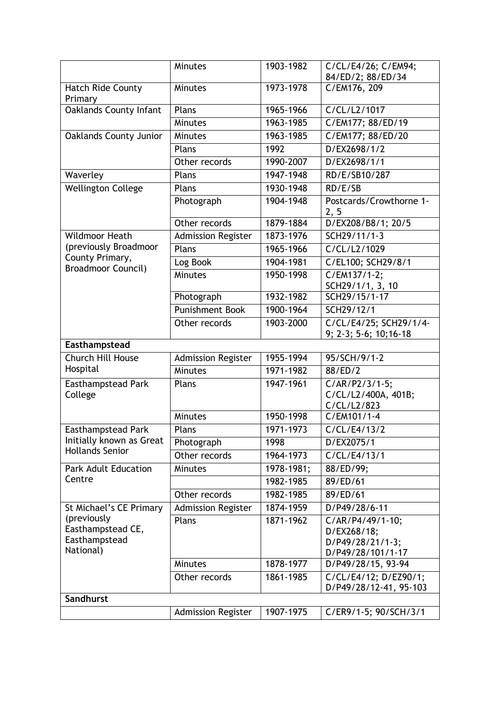|                                                                | <b>Minutes</b>            | 1903-1982     | C/CL/E4/26; C/EM94;<br>84/ED/2; 88/ED/34                                 |
|----------------------------------------------------------------|---------------------------|---------------|--------------------------------------------------------------------------|
| <b>Hatch Ride County</b>                                       | <b>Minutes</b>            | 1973-1978     | C/EM176, 209                                                             |
| Primary                                                        |                           |               |                                                                          |
| Oaklands County Infant                                         | Plans                     | 1965-1966     | C/CL/L2/1017                                                             |
|                                                                | Minutes                   | 1963-1985     | C/EM177; 88/ED/19                                                        |
| <b>Oaklands County Junior</b>                                  | <b>Minutes</b>            | 1963-1985     | C/EM177; 88/ED/20                                                        |
|                                                                | Plans                     | 1992          | D/EX2698/1/2                                                             |
|                                                                | Other records             | 1990-2007     | D/EX2698/1/1                                                             |
| Waverley                                                       | Plans                     | $1947 - 1948$ | RD/E/SB10/287                                                            |
| <b>Wellington College</b>                                      | Plans                     | 1930-1948     | RD/E/SB                                                                  |
|                                                                | Photograph                | 1904-1948     | Postcards/Crowthorne 1-<br>2, 5                                          |
|                                                                | Other records             | 1879-1884     | D/EX208/B8/1; 20/5                                                       |
| <b>Wildmoor Heath</b>                                          | <b>Admission Register</b> | 1873-1976     | SCH29/11/1-3                                                             |
| (previously Broadmoor                                          | Plans                     | 1965-1966     | C/CL/L2/1029                                                             |
| County Primary,<br><b>Broadmoor Council)</b>                   | Log Book                  | 1904-1981     | C/EL100; SCH29/8/1                                                       |
|                                                                | Minutes                   | 1950-1998     | $C/EM137/1-2$ :<br>SCH29/1/1, 3, 10                                      |
|                                                                | Photograph                | 1932-1982     | SCH29/15/1-17                                                            |
|                                                                | <b>Punishment Book</b>    | 1900-1964     | SCH29/12/1                                                               |
|                                                                | Other records             | 1903-2000     | C/CL/E4/25; SCH29/1/4-<br>9; 2-3; 5-6; 10; 16-18                         |
| Easthampstead                                                  |                           |               |                                                                          |
| Church Hill House                                              | <b>Admission Register</b> | 1955-1994     | 95/SCH/9/1-2                                                             |
| Hospital                                                       | Minutes                   | 1971-1982     | 88/ED/2                                                                  |
| Easthampstead Park<br>College                                  | Plans                     | 1947-1961     | $C/AR/P2/3/1-5;$<br>C/CL/L2/400A, 401B;<br>C/CL/L2/823                   |
|                                                                | Minutes                   | 1950-1998     | C/EM101/1-4                                                              |
| <b>Easthampstead Park</b>                                      | Plans                     | 1971-1973     | C/CL/E4/13/2                                                             |
| Initially known as Great                                       | Photograph                | 1998          | D/EX2075/1                                                               |
| <b>Hollands Senior</b>                                         | Other records             | 1964-1973     | C/CL/E4/13/1                                                             |
| <b>Park Adult Education</b>                                    | <b>Minutes</b>            | 1978-1981;    | 88/ED/99;                                                                |
| Centre                                                         |                           | 1982-1985     | 89/ED/61                                                                 |
|                                                                |                           |               |                                                                          |
| St Michael's CE Primary                                        | Other records             | 1982-1985     | 89/ED/61                                                                 |
|                                                                | <b>Admission Register</b> | 1874-1959     | D/P49/28/6-11                                                            |
| (previously<br>Easthampstead CE,<br>Easthampstead<br>National) | Plans                     | 1871-1962     | C/AR/P4/49/1-10;<br>D/EX268/18;<br>D/P49/28/21/1-3;<br>D/P49/28/101/1-17 |
|                                                                | <b>Minutes</b>            | 1878-1977     | D/P49/28/15, 93-94                                                       |
|                                                                | Other records             | 1861-1985     | C/CL/E4/12; D/EZ90/1;<br>D/P49/28/12-41, 95-103                          |
| Sandhurst                                                      |                           |               |                                                                          |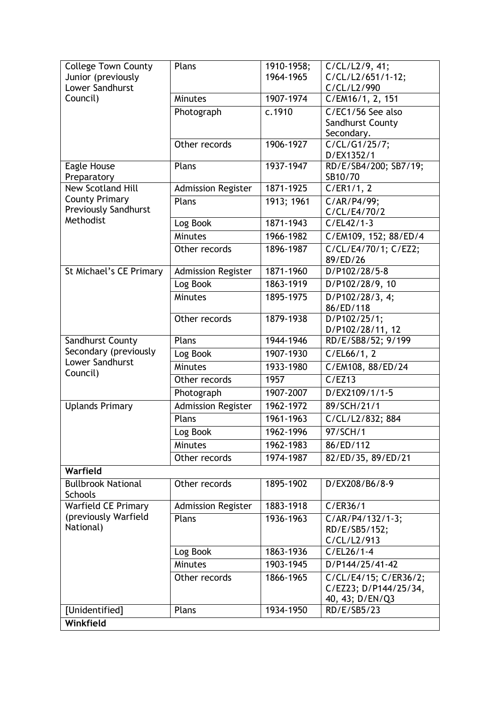| <b>College Town County</b>                   | Plans                     |                         |                              |
|----------------------------------------------|---------------------------|-------------------------|------------------------------|
|                                              |                           | 1910-1958;<br>1964-1965 | C/CL/L2/9, 41;               |
| Junior (previously<br><b>Lower Sandhurst</b> |                           |                         | C/CL/L2/651/1-12;            |
|                                              |                           |                         | C/CL/L2/990                  |
| Council)                                     | <b>Minutes</b>            | 1907-1974               | C/EM16/1, 2, 151             |
|                                              | Photograph                | c.1910                  | C/EC1/56 See also            |
|                                              |                           |                         | Sandhurst County             |
|                                              |                           |                         | Secondary.                   |
|                                              | Other records             | 1906-1927               | $\overline{C/CL/G1/25/7}$ ;  |
|                                              |                           |                         | D/EX1352/1                   |
| Eagle House                                  | Plans                     | 1937-1947               | RD/E/SB4/200; SB7/19;        |
| Preparatory                                  |                           |                         | SB10/70                      |
| <b>New Scotland Hill</b>                     | <b>Admission Register</b> | 1871-1925               | C/ER1/1, 2                   |
| <b>County Primary</b>                        | Plans                     | 1913; 1961              | C/AR/P4/99;                  |
| <b>Previously Sandhurst</b><br>Methodist     |                           |                         | C/CL/E4/70/2                 |
|                                              | Log Book                  | 1871-1943               | $C/EL42/1-3$                 |
|                                              | <b>Minutes</b>            | 1966-1982               | C/EM109, 152; 88/ED/4        |
|                                              | Other records             | 1896-1987               | C/CL/E4/70/1; C/EZ2;         |
|                                              |                           |                         | 89/ED/26                     |
| St Michael's CE Primary                      | <b>Admission Register</b> | 1871-1960               | D/P102/28/5-8                |
|                                              | Log Book                  | 1863-1919               | D/P102/28/9, 10              |
|                                              | <b>Minutes</b>            | 1895-1975               | D/P102/28/3, 4;              |
|                                              |                           |                         | 86/ED/118                    |
|                                              | Other records             | 1879-1938               | D/P102/25/1;                 |
|                                              |                           |                         | D/P102/28/11, 12             |
| Sandhurst County                             | Plans                     | 1944-1946               | RD/E/SB8/52; 9/199           |
| Secondary (previously                        | Log Book                  | 1907-1930               | C/EL66/1, 2                  |
| Lower Sandhurst                              | Minutes                   | 1933-1980               | C/EM108, 88/ED/24            |
| Council)                                     | Other records             | 1957                    | C/EZ13                       |
|                                              |                           | 1907-2007               | D/EX2109/1/1-5               |
|                                              | Photograph                |                         |                              |
| <b>Uplands Primary</b>                       | <b>Admission Register</b> | 1962-1972               | 89/SCH/21/1                  |
|                                              | Plans                     | 1961-1963               | C/CL/L2/832; 884             |
|                                              | Log Book                  | 1962-1996               | 97/SCH/1                     |
|                                              | <b>Minutes</b>            | 1962-1983               | 86/ED/112                    |
|                                              | Other records             | 1974-1987               | 82/ED/35, 89/ED/21           |
| Warfield                                     |                           |                         |                              |
| <b>Bullbrook National</b>                    | Other records             | 1895-1902               | D/EX208/B6/8-9               |
| <b>Schools</b>                               |                           |                         |                              |
| <b>Warfield CE Primary</b>                   | <b>Admission Register</b> | 1883-1918               | C/ER36/1                     |
| (previously Warfield                         |                           |                         |                              |
| National)                                    | Plans                     | 1936-1963               | C/AR/P4/132/1-3;             |
|                                              |                           |                         | RD/E/SB5/152;<br>C/CL/L2/913 |
|                                              | Log Book                  | 1863-1936               | $C/EL26/1-4$                 |
|                                              |                           |                         |                              |
|                                              | <b>Minutes</b>            | 1903-1945               | D/P144/25/41-42              |
|                                              | Other records             | 1866-1965               | C/CL/E4/15; C/ER36/2;        |
|                                              |                           |                         | C/EZ23; D/P144/25/34,        |
|                                              |                           |                         | 40, 43; D/EN/Q3              |
| [Unidentified]                               | Plans                     | 1934-1950               | RD/E/SB5/23                  |
| Winkfield                                    |                           |                         |                              |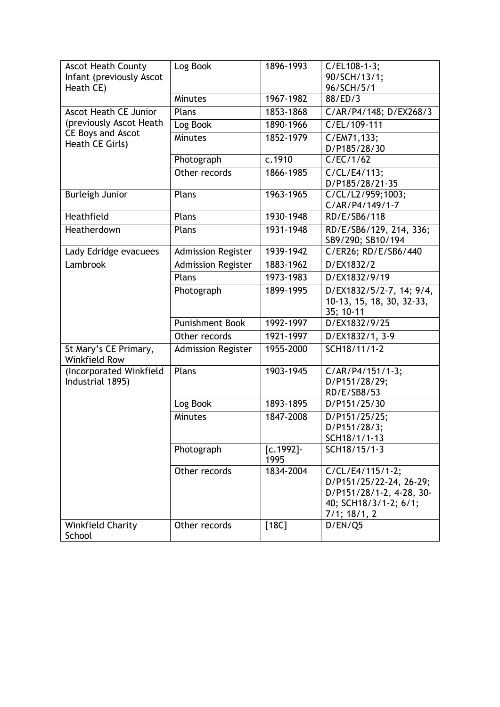| <b>Ascot Heath County</b><br>Infant (previously Ascot | Log Book                  | 1896-1993            | C/EL108-1-3;<br>90/SCH/13/1;                                                                                           |
|-------------------------------------------------------|---------------------------|----------------------|------------------------------------------------------------------------------------------------------------------------|
| Heath CE)                                             |                           |                      | 96/SCH/5/1                                                                                                             |
|                                                       | Minutes                   | 1967-1982            | 88/ED/3                                                                                                                |
| <b>Ascot Heath CE Junior</b>                          | Plans                     | 1853-1868            | C/AR/P4/148; D/EX268/3                                                                                                 |
| (previously Ascot Heath                               | Log Book                  | 1890-1966            | C/EL/109-111                                                                                                           |
| CE Boys and Ascot<br>Heath CE Girls)                  | Minutes                   | 1852-1979            | C/EM71,133;<br>D/P185/28/30                                                                                            |
|                                                       | Photograph                | c.1910               | C/EC/1/62                                                                                                              |
|                                                       | Other records             | 1866-1985            | C/CL/E4/113;<br>D/P185/28/21-35                                                                                        |
| <b>Burleigh Junior</b>                                | Plans                     | 1963-1965            | C/CL/L2/959;1003;<br>C/AR/P4/149/1-7                                                                                   |
| Heathfield                                            | Plans                     | 1930-1948            | RD/E/SB6/118                                                                                                           |
| Heatherdown                                           | Plans                     | 1931-1948            | RD/E/SB6/129, 214, 336;<br>SB9/290; SB10/194                                                                           |
| Lady Edridge evacuees                                 | <b>Admission Register</b> | 1939-1942            | C/ER26; RD/E/SB6/440                                                                                                   |
| Lambrook                                              | <b>Admission Register</b> | 1883-1962            | D/EX1832/2                                                                                                             |
|                                                       | Plans                     | 1973-1983            | D/EX1832/9/19                                                                                                          |
|                                                       | Photograph                | 1899-1995            | D/EX1832/5/2-7, 14; 9/4,<br>10-13, 15, 18, 30, 32-33,<br>35; 10-11                                                     |
|                                                       | <b>Punishment Book</b>    | 1992-1997            | D/EX1832/9/25                                                                                                          |
|                                                       | Other records             | 1921-1997            | D/EX1832/1, 3-9                                                                                                        |
| St Mary's CE Primary,<br>Winkfield Row                | <b>Admission Register</b> | 1955-2000            | SCH18/11/1-2                                                                                                           |
| (Incorporated Winkfield<br>Industrial 1895)           | Plans                     | 1903-1945            | C/AR/P4/151/1-3;<br>D/P151/28/29;<br>RD/E/SB8/53                                                                       |
|                                                       | Log Book                  | 1893-1895            | D/P151/25/30                                                                                                           |
|                                                       | Minutes                   | 1847-2008            | D/P151/25/25;<br>D/P151/28/3;<br>SCH18/1/1-13                                                                          |
|                                                       | Photograph                | $[c.1992] -$<br>1995 | SCH18/15/1-3                                                                                                           |
|                                                       | Other records             | 1834-2004            | C/CL/E4/115/1-2;<br>D/P151/25/22-24, 26-29;<br>D/P151/28/1-2, 4-28, 30-<br>40; SCH18/3/1-2; 6/1;<br>$7/1$ ; $18/1$ , 2 |
| <b>Winkfield Charity</b><br>School                    | Other records             | $[18C]$              | D/EN/Q5                                                                                                                |